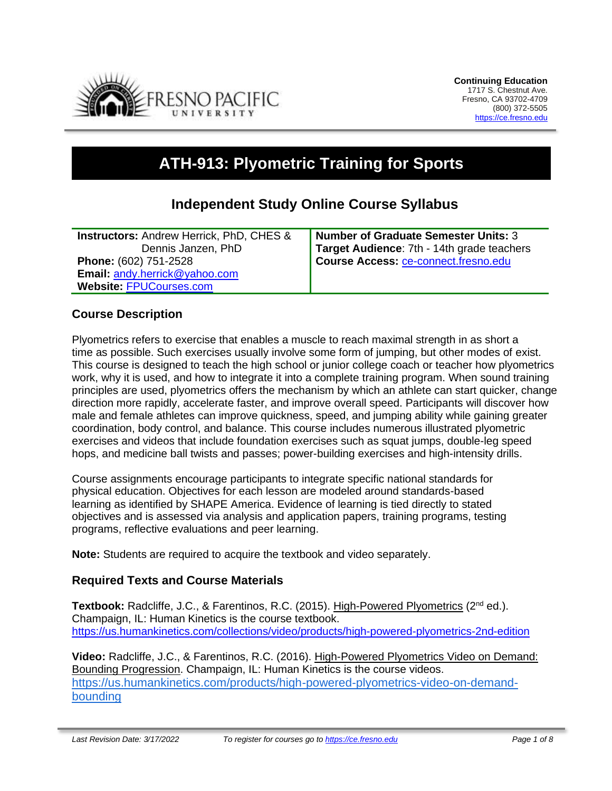

# **ATH-913: Plyometric Training for Sports**

# **Independent Study Online Course Syllabus**

**Instructors:** Andrew Herrick, PhD, CHES & Dennis Janzen, PhD **Phone:** (602) 751-2528 **Email:** [andy.herrick@yahoo.com](mailto:andy.herrick@yahoo.com) **Website:** [FPUCourses.com](http://www.fpucourses.com/)

**Number of Graduate Semester Units:** 3 **Target Audience**: 7th - 14th grade teachers **Course Access:** [ce-connect.fresno.edu](https://ce-connect.fresno.edu/)

# **Course Description**

Plyometrics refers to exercise that enables a muscle to reach maximal strength in as short a time as possible. Such exercises usually involve some form of jumping, but other modes of exist. This course is designed to teach the high school or junior college coach or teacher how plyometrics work, why it is used, and how to integrate it into a complete training program. When sound training principles are used, plyometrics offers the mechanism by which an athlete can start quicker, change direction more rapidly, accelerate faster, and improve overall speed. Participants will discover how male and female athletes can improve quickness, speed, and jumping ability while gaining greater coordination, body control, and balance. This course includes numerous illustrated plyometric exercises and videos that include foundation exercises such as squat jumps, double-leg speed hops, and medicine ball twists and passes; power-building exercises and high-intensity drills.

Course assignments encourage participants to integrate specific national standards for physical education. Objectives for each lesson are modeled around standards-based learning as identified by SHAPE America. Evidence of learning is tied directly to stated objectives and is assessed via analysis and application papers, training programs, testing programs, reflective evaluations and peer learning.

**Note:** Students are required to acquire the textbook and video separately.

# **Required Texts and Course Materials**

**Textbook:** Radcliffe, J.C., & Farentinos, R.C. (2015). High-Powered Plyometrics (2nd ed.). Champaign, IL: Human Kinetics is the course textbook. <https://us.humankinetics.com/collections/video/products/high-powered-plyometrics-2nd-edition>

**Video:** Radcliffe, J.C., & Farentinos, R.C. (2016). High-Powered Plyometrics Video on Demand: Bounding Progression. Champaign, IL: Human Kinetics is the course videos. [https://us.humankinetics.com/products/high-powered-plyometrics-video-on-demand](https://us.humankinetics.com/products/high-powered-plyometrics-video-on-demand-bounding)[bounding](https://us.humankinetics.com/products/high-powered-plyometrics-video-on-demand-bounding)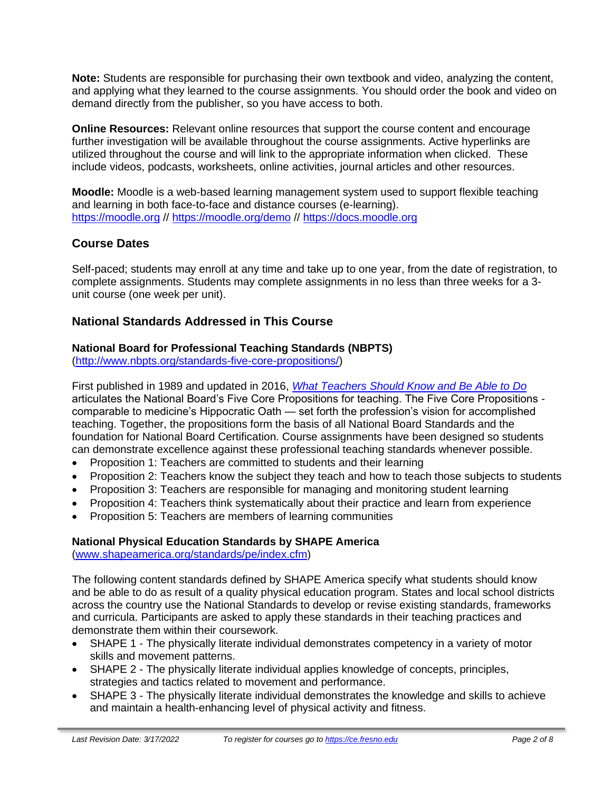**Note:** Students are responsible for purchasing their own textbook and video, analyzing the content, and applying what they learned to the course assignments. You should order the book and video on demand directly from the publisher, so you have access to both.

**Online Resources:** Relevant online resources that support the course content and encourage further investigation will be available throughout the course assignments. Active hyperlinks are utilized throughout the course and will link to the appropriate information when clicked. These include videos, podcasts, worksheets, online activities, journal articles and other resources.

**Moodle:** Moodle is a web-based learning management system used to support flexible teaching and learning in both face-to-face and distance courses (e-learning). [https://moodle.org](https://moodle.org/) //<https://moodle.org/demo> // [https://docs.moodle.org](https://docs.moodle.org/)

# **Course Dates**

Self-paced; students may enroll at any time and take up to one year, from the date of registration, to complete assignments. Students may complete assignments in no less than three weeks for a 3 unit course (one week per unit).

# **National Standards Addressed in This Course**

#### **National Board for Professional Teaching Standards (NBPTS)**

[\(http://www.nbpts.org/standards-five-core-propositions/\)](http://www.nbpts.org/standards-five-core-propositions/)

First published in 1989 and updated in 2016, *[What Teachers Should Know and Be Able to Do](http://www.accomplishedteacher.org/)* articulates the National Board's Five Core Propositions for teaching. The Five Core Propositions comparable to medicine's Hippocratic Oath — set forth the profession's vision for accomplished teaching. Together, the propositions form the basis of all National Board Standards and the foundation for National Board Certification. Course assignments have been designed so students can demonstrate excellence against these professional teaching standards whenever possible.

- Proposition 1: Teachers are committed to students and their learning
- Proposition 2: Teachers know the subject they teach and how to teach those subjects to students
- Proposition 3: Teachers are responsible for managing and monitoring student learning
- Proposition 4: Teachers think systematically about their practice and learn from experience
- Proposition 5: Teachers are members of learning communities

#### **National Physical Education Standards by SHAPE America**

[\(www.shapeamerica.org/standards/pe/index.cfm\)](http://www.shapeamerica.org/standards/pe/index.cfm)

The following content standards defined by SHAPE America specify what students should know and be able to do as result of a quality physical education program. States and local school districts across the country use the National Standards to develop or revise existing standards, frameworks and curricula. Participants are asked to apply these standards in their teaching practices and demonstrate them within their coursework.

- SHAPE 1 The physically literate individual demonstrates competency in a variety of motor skills and movement patterns.
- SHAPE 2 The physically literate individual applies knowledge of concepts, principles, strategies and tactics related to movement and performance.
- SHAPE 3 The physically literate individual demonstrates the knowledge and skills to achieve and maintain a health-enhancing level of physical activity and fitness.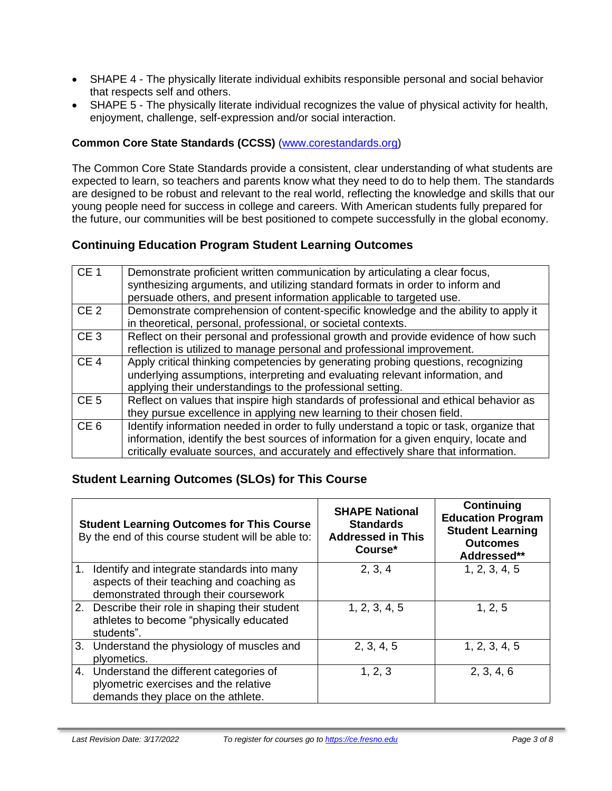- SHAPE 4 The physically literate individual exhibits responsible personal and social behavior that respects self and others.
- SHAPE 5 The physically literate individual recognizes the value of physical activity for health, enjoyment, challenge, self-expression and/or social interaction.

## **Common Core State Standards (CCSS)** [\(www.corestandards.org\)](http://www.corestandards.org/)

The Common Core State Standards provide a consistent, clear understanding of what students are expected to learn, so teachers and parents know what they need to do to help them. The standards are designed to be robust and relevant to the real world, reflecting the knowledge and skills that our young people need for success in college and careers. With American students fully prepared for the future, our communities will be best positioned to compete successfully in the global economy.

# **Continuing Education Program Student Learning Outcomes**

| CE <sub>1</sub> | Demonstrate proficient written communication by articulating a clear focus,             |
|-----------------|-----------------------------------------------------------------------------------------|
|                 | synthesizing arguments, and utilizing standard formats in order to inform and           |
|                 | persuade others, and present information applicable to targeted use.                    |
| CE <sub>2</sub> | Demonstrate comprehension of content-specific knowledge and the ability to apply it     |
|                 | in theoretical, personal, professional, or societal contexts.                           |
| CE <sub>3</sub> | Reflect on their personal and professional growth and provide evidence of how such      |
|                 | reflection is utilized to manage personal and professional improvement.                 |
| CE <sub>4</sub> | Apply critical thinking competencies by generating probing questions, recognizing       |
|                 | underlying assumptions, interpreting and evaluating relevant information, and           |
|                 | applying their understandings to the professional setting.                              |
| CE <sub>5</sub> | Reflect on values that inspire high standards of professional and ethical behavior as   |
|                 | they pursue excellence in applying new learning to their chosen field.                  |
| CE <sub>6</sub> | Identify information needed in order to fully understand a topic or task, organize that |
|                 | information, identify the best sources of information for a given enquiry, locate and   |
|                 | critically evaluate sources, and accurately and effectively share that information.     |

# **Student Learning Outcomes (SLOs) for This Course**

|                | <b>Student Learning Outcomes for This Course</b><br>By the end of this course student will be able to:                           | <b>SHAPE National</b><br><b>Standards</b><br><b>Addressed in This</b><br>Course* | Continuing<br><b>Education Program</b><br><b>Student Learning</b><br><b>Outcomes</b><br>Addressed** |
|----------------|----------------------------------------------------------------------------------------------------------------------------------|----------------------------------------------------------------------------------|-----------------------------------------------------------------------------------------------------|
| $\mathbf{1}$ . | Identify and integrate standards into many<br>aspects of their teaching and coaching as<br>demonstrated through their coursework | 2, 3, 4                                                                          | 1, 2, 3, 4, 5                                                                                       |
|                | 2. Describe their role in shaping their student<br>athletes to become "physically educated<br>students".                         | 1, 2, 3, 4, 5                                                                    | 1, 2, 5                                                                                             |
|                | 3. Understand the physiology of muscles and<br>plyometics.                                                                       | 2, 3, 4, 5                                                                       | 1, 2, 3, 4, 5                                                                                       |
|                | 4. Understand the different categories of<br>plyometric exercises and the relative<br>demands they place on the athlete.         | 1, 2, 3                                                                          | 2, 3, 4, 6                                                                                          |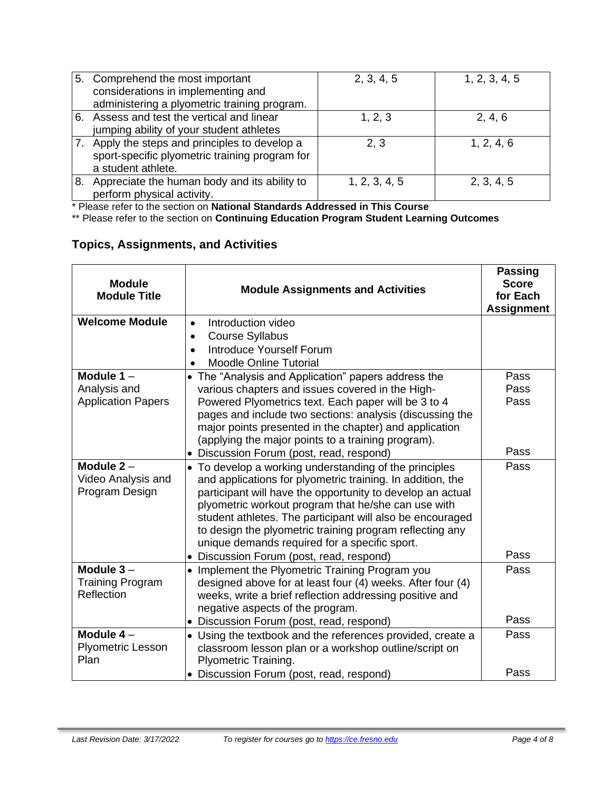|    | 5. Comprehend the most important<br>considerations in implementing and<br>administering a plyometric training program. | 2, 3, 4, 5    | 1, 2, 3, 4, 5 |
|----|------------------------------------------------------------------------------------------------------------------------|---------------|---------------|
| 6. | Assess and test the vertical and linear<br>jumping ability of your student athletes                                    | 1, 2, 3       | 2, 4, 6       |
|    | Apply the steps and principles to develop a<br>sport-specific plyometric training program for<br>a student athlete.    | 2, 3          | 1, 2, 4, 6    |
| 8. | Appreciate the human body and its ability to<br>perform physical activity.                                             | 1, 2, 3, 4, 5 | 2, 3, 4, 5    |

\* Please refer to the section on **National Standards Addressed in This Course**

\*\* Please refer to the section on **Continuing Education Program Student Learning Outcomes**

# **Topics, Assignments, and Activities**

| <b>Module</b><br><b>Module Title</b> | <b>Module Assignments and Activities</b>                                                                          | <b>Passing</b><br><b>Score</b><br>for Each<br><b>Assignment</b> |
|--------------------------------------|-------------------------------------------------------------------------------------------------------------------|-----------------------------------------------------------------|
| <b>Welcome Module</b>                | Introduction video<br>$\bullet$                                                                                   |                                                                 |
|                                      | <b>Course Syllabus</b><br>$\bullet$                                                                               |                                                                 |
|                                      | Introduce Yourself Forum                                                                                          |                                                                 |
|                                      | <b>Moodle Online Tutorial</b>                                                                                     |                                                                 |
| Module $1 -$                         | • The "Analysis and Application" papers address the                                                               | Pass                                                            |
| Analysis and                         | various chapters and issues covered in the High-                                                                  | Pass                                                            |
| <b>Application Papers</b>            | Powered Plyometrics text. Each paper will be 3 to 4                                                               | Pass                                                            |
|                                      | pages and include two sections: analysis (discussing the                                                          |                                                                 |
|                                      | major points presented in the chapter) and application                                                            |                                                                 |
|                                      | (applying the major points to a training program).                                                                |                                                                 |
|                                      | · Discussion Forum (post, read, respond)                                                                          | Pass                                                            |
| Module $2 -$                         | • To develop a working understanding of the principles                                                            | Pass                                                            |
| Video Analysis and<br>Program Design | and applications for plyometric training. In addition, the                                                        |                                                                 |
|                                      | participant will have the opportunity to develop an actual<br>plyometric workout program that he/she can use with |                                                                 |
|                                      | student athletes. The participant will also be encouraged                                                         |                                                                 |
|                                      | to design the plyometric training program reflecting any                                                          |                                                                 |
|                                      | unique demands required for a specific sport.                                                                     |                                                                 |
|                                      | · Discussion Forum (post, read, respond)                                                                          | Pass                                                            |
| Module $3 -$                         | • Implement the Plyometric Training Program you                                                                   | Pass                                                            |
| <b>Training Program</b>              | designed above for at least four (4) weeks. After four (4)                                                        |                                                                 |
| Reflection                           | weeks, write a brief reflection addressing positive and                                                           |                                                                 |
|                                      | negative aspects of the program.                                                                                  |                                                                 |
|                                      | • Discussion Forum (post, read, respond)                                                                          | Pass                                                            |
| Module $4-$                          | • Using the textbook and the references provided, create a                                                        | Pass                                                            |
| <b>Plyometric Lesson</b>             | classroom lesson plan or a workshop outline/script on                                                             |                                                                 |
| Plan                                 | Plyometric Training.                                                                                              |                                                                 |
|                                      | • Discussion Forum (post, read, respond)                                                                          | Pass                                                            |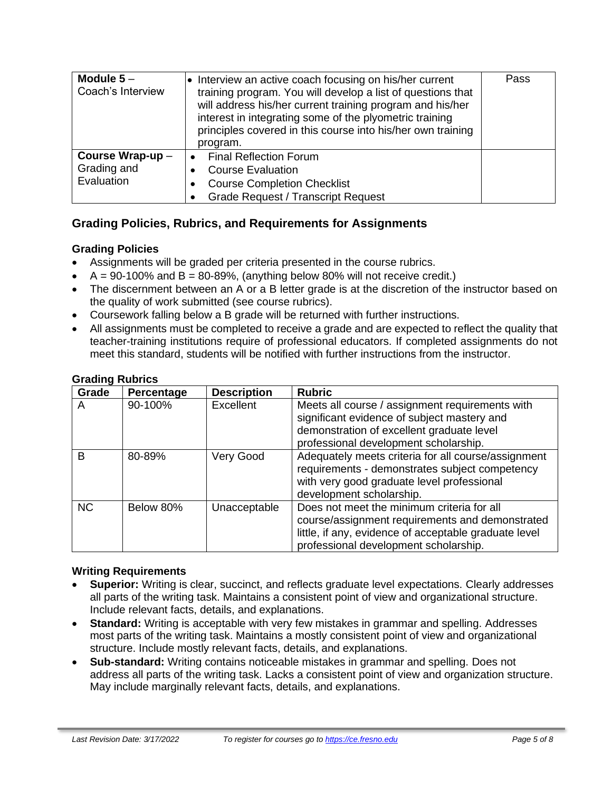| Module $5-$<br>Coach's Interview | • Interview an active coach focusing on his/her current<br>training program. You will develop a list of questions that<br>will address his/her current training program and his/her<br>interest in integrating some of the plyometric training<br>principles covered in this course into his/her own training<br>program. |  |
|----------------------------------|---------------------------------------------------------------------------------------------------------------------------------------------------------------------------------------------------------------------------------------------------------------------------------------------------------------------------|--|
| Course Wrap-up-                  | <b>Final Reflection Forum</b>                                                                                                                                                                                                                                                                                             |  |
| Grading and                      | <b>Course Evaluation</b>                                                                                                                                                                                                                                                                                                  |  |
| Evaluation                       | <b>Course Completion Checklist</b>                                                                                                                                                                                                                                                                                        |  |
|                                  | <b>Grade Request / Transcript Request</b>                                                                                                                                                                                                                                                                                 |  |

# **Grading Policies, Rubrics, and Requirements for Assignments**

#### **Grading Policies**

- Assignments will be graded per criteria presented in the course rubrics.
- $A = 90-100\%$  and  $B = 80-89\%$ , (anything below 80% will not receive credit.)
- The discernment between an A or a B letter grade is at the discretion of the instructor based on the quality of work submitted (see course rubrics).
- Coursework falling below a B grade will be returned with further instructions.
- All assignments must be completed to receive a grade and are expected to reflect the quality that teacher-training institutions require of professional educators. If completed assignments do not meet this standard, students will be notified with further instructions from the instructor.

| Grade     | Percentage | <b>Description</b> | <b>Rubric</b>                                                                                                                                                                                   |
|-----------|------------|--------------------|-------------------------------------------------------------------------------------------------------------------------------------------------------------------------------------------------|
| A         | 90-100%    | Excellent          | Meets all course / assignment requirements with<br>significant evidence of subject mastery and<br>demonstration of excellent graduate level<br>professional development scholarship.            |
| B         | 80-89%     | Very Good          | Adequately meets criteria for all course/assignment<br>requirements - demonstrates subject competency<br>with very good graduate level professional<br>development scholarship.                 |
| <b>NC</b> | Below 80%  | Unacceptable       | Does not meet the minimum criteria for all<br>course/assignment requirements and demonstrated<br>little, if any, evidence of acceptable graduate level<br>professional development scholarship. |

#### **Grading Rubrics**

#### **Writing Requirements**

- **Superior:** Writing is clear, succinct, and reflects graduate level expectations. Clearly addresses all parts of the writing task. Maintains a consistent point of view and organizational structure. Include relevant facts, details, and explanations.
- **Standard:** Writing is acceptable with very few mistakes in grammar and spelling. Addresses most parts of the writing task. Maintains a mostly consistent point of view and organizational structure. Include mostly relevant facts, details, and explanations.
- **Sub-standard:** Writing contains noticeable mistakes in grammar and spelling. Does not address all parts of the writing task. Lacks a consistent point of view and organization structure. May include marginally relevant facts, details, and explanations.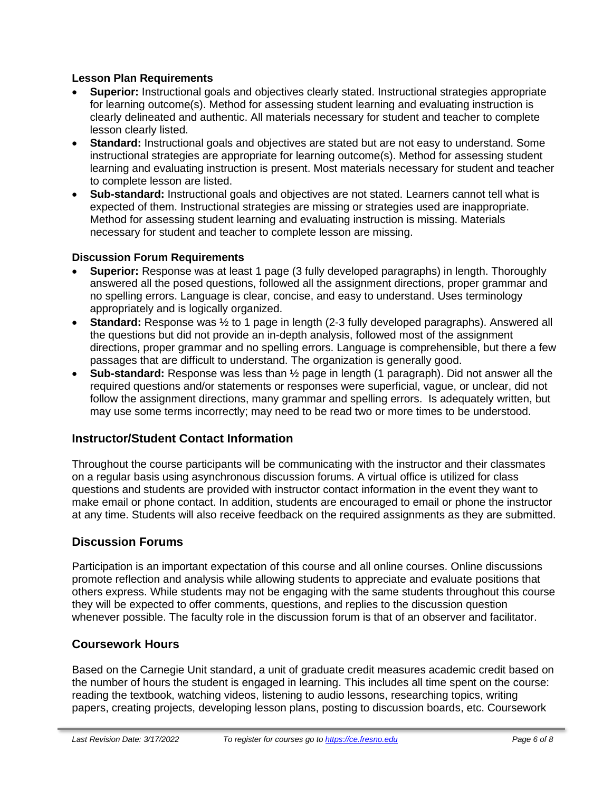#### **Lesson Plan Requirements**

- **Superior:** Instructional goals and objectives clearly stated. Instructional strategies appropriate for learning outcome(s). Method for assessing student learning and evaluating instruction is clearly delineated and authentic. All materials necessary for student and teacher to complete lesson clearly listed.
- **Standard:** Instructional goals and objectives are stated but are not easy to understand. Some instructional strategies are appropriate for learning outcome(s). Method for assessing student learning and evaluating instruction is present. Most materials necessary for student and teacher to complete lesson are listed.
- **Sub-standard:** Instructional goals and objectives are not stated. Learners cannot tell what is expected of them. Instructional strategies are missing or strategies used are inappropriate. Method for assessing student learning and evaluating instruction is missing. Materials necessary for student and teacher to complete lesson are missing.

#### **Discussion Forum Requirements**

- **Superior:** Response was at least 1 page (3 fully developed paragraphs) in length. Thoroughly answered all the posed questions, followed all the assignment directions, proper grammar and no spelling errors. Language is clear, concise, and easy to understand. Uses terminology appropriately and is logically organized.
- **Standard:** Response was ½ to 1 page in length (2-3 fully developed paragraphs). Answered all the questions but did not provide an in-depth analysis, followed most of the assignment directions, proper grammar and no spelling errors. Language is comprehensible, but there a few passages that are difficult to understand. The organization is generally good.
- **Sub-standard:** Response was less than ½ page in length (1 paragraph). Did not answer all the required questions and/or statements or responses were superficial, vague, or unclear, did not follow the assignment directions, many grammar and spelling errors. Is adequately written, but may use some terms incorrectly; may need to be read two or more times to be understood.

# **Instructor/Student Contact Information**

Throughout the course participants will be communicating with the instructor and their classmates on a regular basis using asynchronous discussion forums. A virtual office is utilized for class questions and students are provided with instructor contact information in the event they want to make email or phone contact. In addition, students are encouraged to email or phone the instructor at any time. Students will also receive feedback on the required assignments as they are submitted.

# **Discussion Forums**

Participation is an important expectation of this course and all online courses. Online discussions promote reflection and analysis while allowing students to appreciate and evaluate positions that others express. While students may not be engaging with the same students throughout this course they will be expected to offer comments, questions, and replies to the discussion question whenever possible. The faculty role in the discussion forum is that of an observer and facilitator.

# **Coursework Hours**

Based on the Carnegie Unit standard, a unit of graduate credit measures academic credit based on the number of hours the student is engaged in learning. This includes all time spent on the course: reading the textbook, watching videos, listening to audio lessons, researching topics, writing papers, creating projects, developing lesson plans, posting to discussion boards, etc. Coursework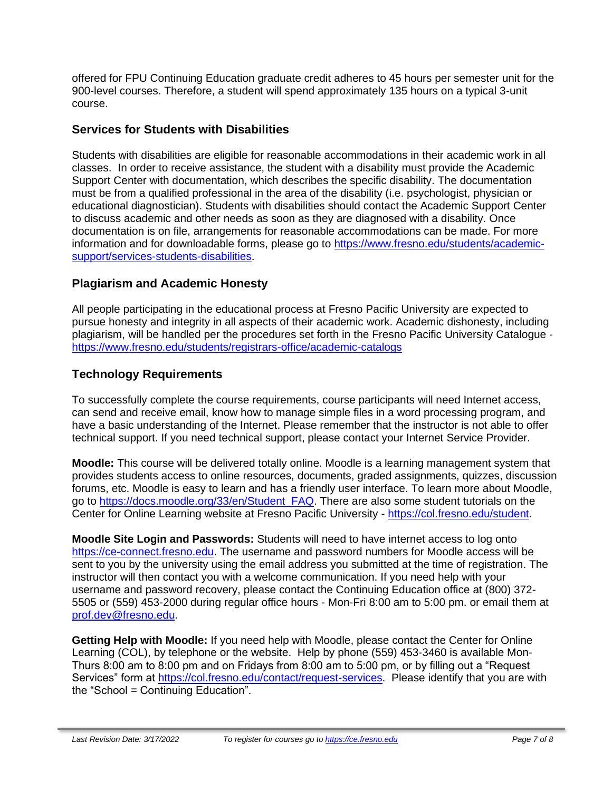offered for FPU Continuing Education graduate credit adheres to 45 hours per semester unit for the 900-level courses. Therefore, a student will spend approximately 135 hours on a typical 3-unit course.

# **Services for Students with Disabilities**

Students with disabilities are eligible for reasonable accommodations in their academic work in all classes. In order to receive assistance, the student with a disability must provide the Academic Support Center with documentation, which describes the specific disability. The documentation must be from a qualified professional in the area of the disability (i.e. psychologist, physician or educational diagnostician). Students with disabilities should contact the Academic Support Center to discuss academic and other needs as soon as they are diagnosed with a disability. Once documentation is on file, arrangements for reasonable accommodations can be made. For more information and for downloadable forms, please go to [https://www.fresno.edu/students/academic](https://www.fresno.edu/students/academic-support/services-students-disabilities)[support/services-students-disabilities.](https://www.fresno.edu/students/academic-support/services-students-disabilities)

# **Plagiarism and Academic Honesty**

All people participating in the educational process at Fresno Pacific University are expected to pursue honesty and integrity in all aspects of their academic work. Academic dishonesty, including plagiarism, will be handled per the procedures set forth in the Fresno Pacific University Catalogue <https://www.fresno.edu/students/registrars-office/academic-catalogs>

# **Technology Requirements**

To successfully complete the course requirements, course participants will need Internet access, can send and receive email, know how to manage simple files in a word processing program, and have a basic understanding of the Internet. Please remember that the instructor is not able to offer technical support. If you need technical support, please contact your Internet Service Provider.

**Moodle:** This course will be delivered totally online. Moodle is a learning management system that provides students access to online resources, documents, graded assignments, quizzes, discussion forums, etc. Moodle is easy to learn and has a friendly user interface. To learn more about Moodle, go to [https://docs.moodle.org/33/en/Student\\_FAQ.](https://docs.moodle.org/33/en/Student_FAQ) There are also some student tutorials on the Center for Online Learning website at Fresno Pacific University - [https://col.fresno.edu/student.](https://col.fresno.edu/student)

**Moodle Site Login and Passwords:** Students will need to have internet access to log onto [https://ce-connect.fresno.edu.](https://ce-connect.fresno.edu/) The username and password numbers for Moodle access will be sent to you by the university using the email address you submitted at the time of registration. The instructor will then contact you with a welcome communication. If you need help with your username and password recovery, please contact the Continuing Education office at (800) 372- 5505 or (559) 453-2000 during regular office hours - Mon-Fri 8:00 am to 5:00 pm. or email them at [prof.dev@fresno.edu.](mailto:prof.dev@fresno.edu)

**Getting Help with Moodle:** If you need help with Moodle, please contact the Center for Online Learning (COL), by telephone or the website. Help by phone (559) 453-3460 is available Mon-Thurs 8:00 am to 8:00 pm and on Fridays from 8:00 am to 5:00 pm, or by filling out a "Request Services" form at [https://col.fresno.edu/contact/request-services.](https://col.fresno.edu/contact/request-services) Please identify that you are with the "School = Continuing Education".